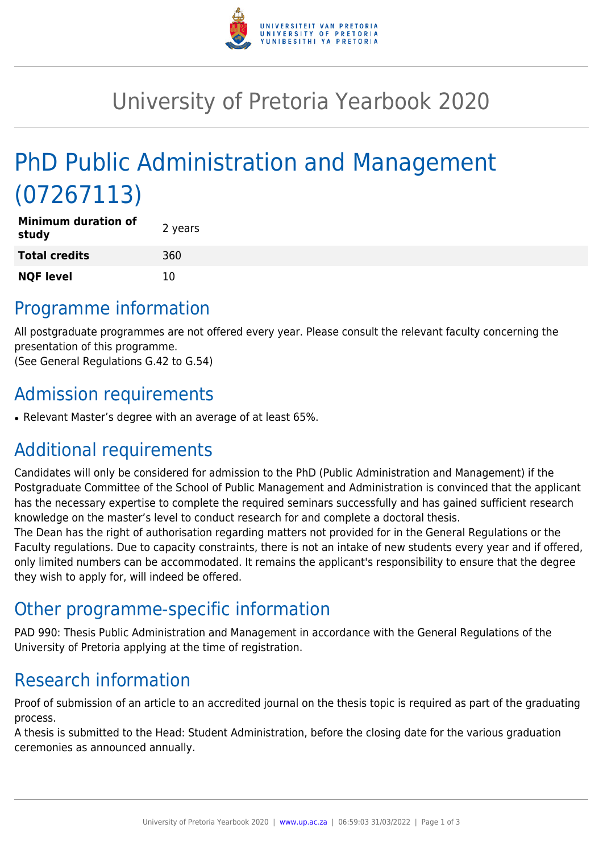

## University of Pretoria Yearbook 2020

# PhD Public Administration and Management (07267113)

| <b>Minimum duration of</b><br>study | 2 years |
|-------------------------------------|---------|
| <b>Total credits</b>                | 360     |
| <b>NQF level</b>                    | 10      |

### Programme information

All postgraduate programmes are not offered every year. Please consult the relevant faculty concerning the presentation of this programme.

(See General Regulations G.42 to G.54)

### Admission requirements

• Relevant Master's degree with an average of at least 65%.

### Additional requirements

Candidates will only be considered for admission to the PhD (Public Administration and Management) if the Postgraduate Committee of the School of Public Management and Administration is convinced that the applicant has the necessary expertise to complete the required seminars successfully and has gained sufficient research knowledge on the master's level to conduct research for and complete a doctoral thesis.

The Dean has the right of authorisation regarding matters not provided for in the General Regulations or the Faculty regulations. Due to capacity constraints, there is not an intake of new students every year and if offered, only limited numbers can be accommodated. It remains the applicant's responsibility to ensure that the degree they wish to apply for, will indeed be offered.

### Other programme-specific information

PAD 990: Thesis Public Administration and Management in accordance with the General Regulations of the University of Pretoria applying at the time of registration.

### Research information

Proof of submission of an article to an accredited journal on the thesis topic is required as part of the graduating process.

A thesis is submitted to the Head: Student Administration, before the closing date for the various graduation ceremonies as announced annually.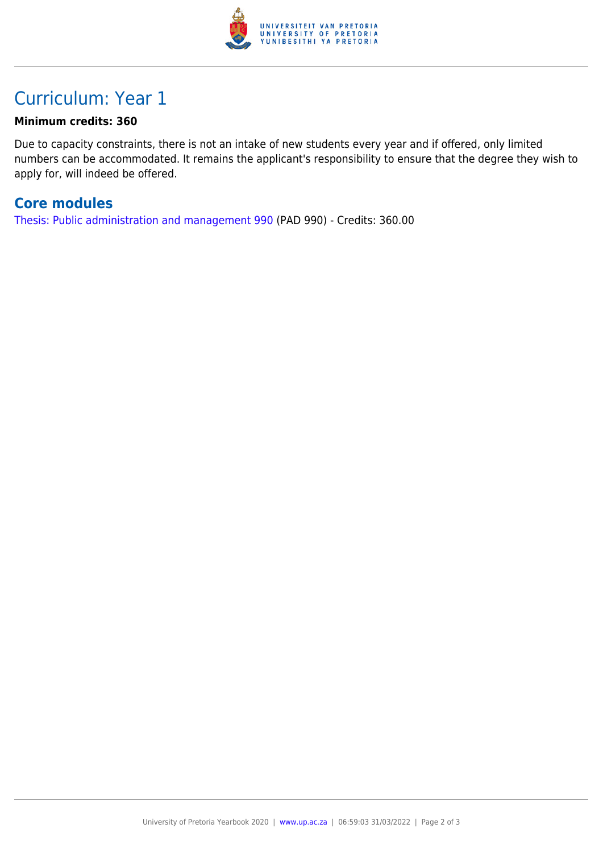

### Curriculum: Year 1

#### **Minimum credits: 360**

Due to capacity constraints, there is not an intake of new students every year and if offered, only limited numbers can be accommodated. It remains the applicant's responsibility to ensure that the degree they wish to apply for, will indeed be offered.

#### **Core modules**

[Thesis: Public administration and management 990](https://www.up.ac.za/faculty-of-education/yearbooks/2020/modules/view/PAD 990) (PAD 990) - Credits: 360.00